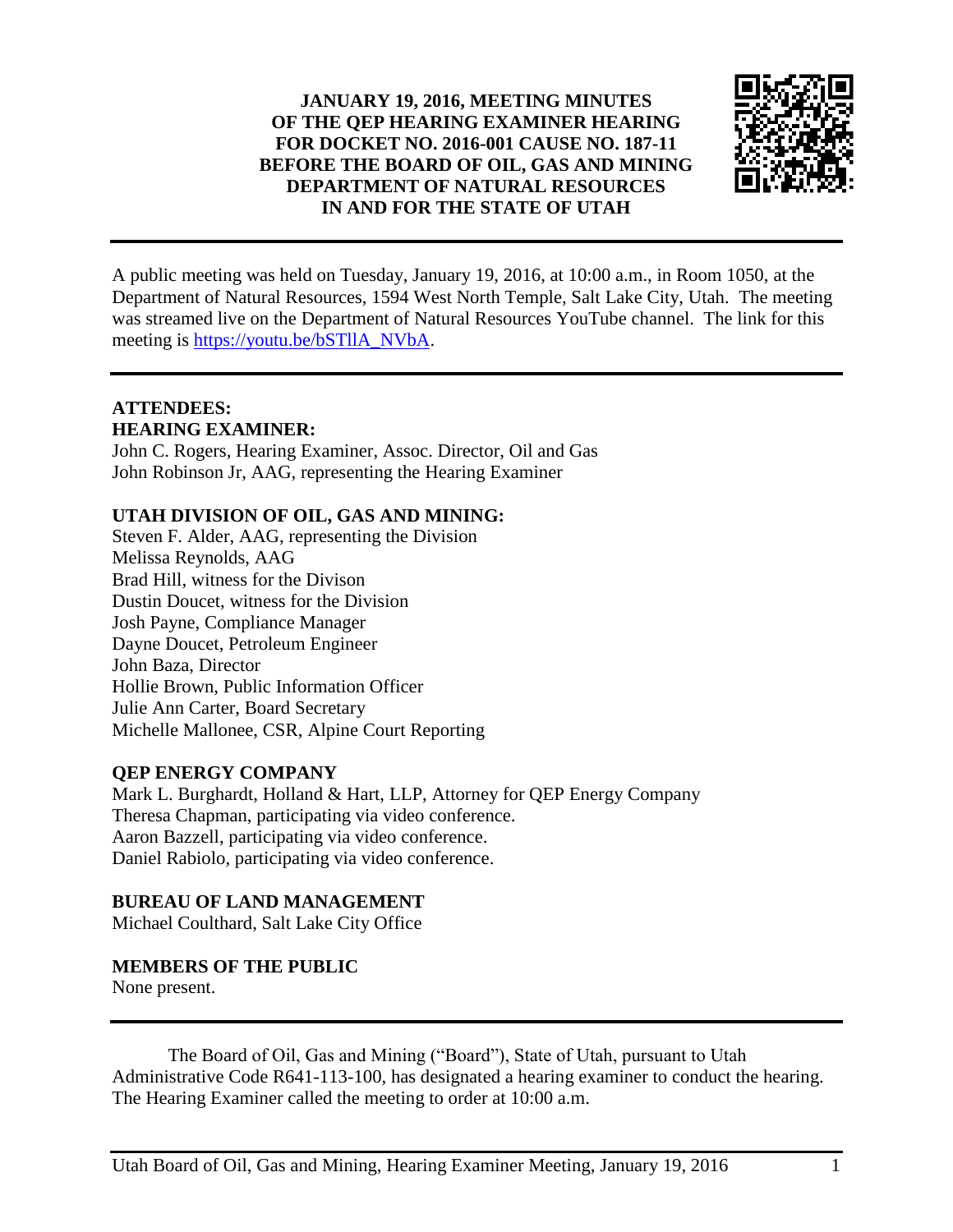### **JANUARY 19, 2016, MEETING MINUTES OF THE QEP HEARING EXAMINER HEARING FOR DOCKET NO. 2016-001 CAUSE NO. 187-11 BEFORE THE BOARD OF OIL, GAS AND MINING DEPARTMENT OF NATURAL RESOURCES IN AND FOR THE STATE OF UTAH**



A public meeting was held on Tuesday, January 19, 2016, at 10:00 a.m., in Room 1050, at the Department of Natural Resources, 1594 West North Temple, Salt Lake City, Utah. The meeting was streamed live on the Department of Natural Resources YouTube channel. The link for this meeting is [https://youtu.be/bSTllA\\_NVbA.](https://youtu.be/bSTllA_NVbA)

#### **ATTENDEES: HEARING EXAMINER:**

John C. Rogers, Hearing Examiner, Assoc. Director, Oil and Gas John Robinson Jr, AAG, representing the Hearing Examiner

## **UTAH DIVISION OF OIL, GAS AND MINING:**

Steven F. Alder, AAG, representing the Division Melissa Reynolds, AAG Brad Hill, witness for the Divison Dustin Doucet, witness for the Division Josh Payne, Compliance Manager Dayne Doucet, Petroleum Engineer John Baza, Director Hollie Brown, Public Information Officer Julie Ann Carter, Board Secretary Michelle Mallonee, CSR, Alpine Court Reporting

### **QEP ENERGY COMPANY**

Mark L. Burghardt, Holland & Hart, LLP, Attorney for QEP Energy Company Theresa Chapman, participating via video conference. Aaron Bazzell, participating via video conference. Daniel Rabiolo, participating via video conference.

### **BUREAU OF LAND MANAGEMENT**

Michael Coulthard, Salt Lake City Office

# **MEMBERS OF THE PUBLIC**

None present.

The Board of Oil, Gas and Mining ("Board"), State of Utah, pursuant to Utah Administrative Code R641-113-100, has designated a hearing examiner to conduct the hearing. The Hearing Examiner called the meeting to order at 10:00 a.m.